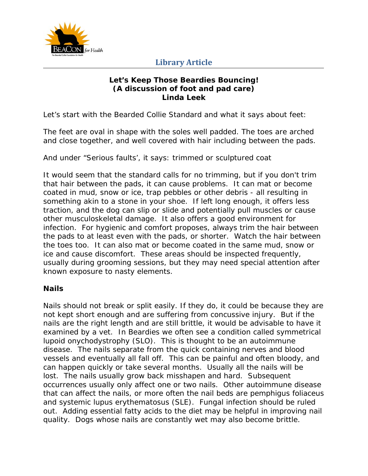

### **Library Article**

### **Let's Keep Those Beardies Bouncing! (A discussion of foot and pad care) Linda Leek**

Let's start with the Bearded Collie Standard and what it says about feet:

*The feet are oval in shape with the soles well padded. The toes are arched and close together, and well covered with hair including between the pads.*

And under "Serious faults', it says: *trimmed or sculptured coat*

It would seem that the standard calls for no trimming, but if you don't trim that hair between the pads, it can cause problems. It can mat or become coated in mud, snow or ice, trap pebbles or other debris - all resulting in something akin to a stone in your shoe. If left long enough, it offers less traction, and the dog can slip or slide and potentially pull muscles or cause other musculoskeletal damage. It also offers a good environment for infection. For hygienic and comfort proposes, always trim the hair between the pads to at least even with the pads, or shorter. Watch the hair between the toes too. It can also mat or become coated in the same mud, snow or ice and cause discomfort. These areas should be inspected frequently, usually during grooming sessions, but they may need special attention after known exposure to nasty elements.

### **Nails**

Nails should not break or split easily. If they do, it could be because they are not kept short enough and are suffering from concussive injury. But if the nails are the right length and are still brittle, it would be advisable to have it examined by a vet. In Beardies we often see a condition called symmetrical lupoid onychodystrophy (SLO). This is thought to be an autoimmune disease. The nails separate from the quick containing nerves and blood vessels and eventually all fall off. This can be painful and often bloody, and can happen quickly or take several months. Usually all the nails will be lost. The nails usually grow back misshapen and hard. Subsequent occurrences usually only affect one or two nails. Other autoimmune disease that can affect the nails, or more often the nail beds are pemphigus foliaceus and systemic lupus erythematosus (SLE). Fungal infection should be ruled out. Adding essential fatty acids to the diet may be helpful in improving nail quality. Dogs whose nails are constantly wet may also become brittle.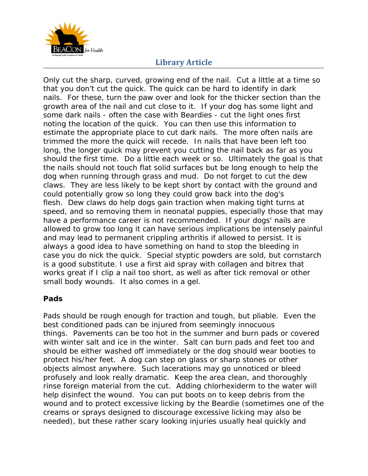

# **Library Article**

Only cut the sharp, curved, growing end of the nail. Cut a little at a time so that you don't cut the quick. The quick can be hard to identify in dark nails. For these, turn the paw over and look for the thicker section than the growth area of the nail and cut close to it. If your dog has some light and some dark nails - often the case with Beardies - cut the light ones first noting the location of the quick. You can then use this information to estimate the appropriate place to cut dark nails. The more often nails are trimmed the more the quick will recede. In nails that have been left too long, the longer quick may prevent you cutting the nail back as far as you should the first time. Do a little each week or so. Ultimately the goal is that the nails should not touch flat solid surfaces but be long enough to help the dog when running through grass and mud. Do not forget to cut the dew claws. They are less likely to be kept short by contact with the ground and could potentially grow so long they could grow back into the dog's flesh. Dew claws do help dogs gain traction when making tight turns at speed, and so removing them in neonatal puppies, especially those that may have a performance career is not recommended. If your dogs' nails are allowed to grow too long it can have serious implications be intensely painful and may lead to permanent crippling arthritis if allowed to persist. It is always a good idea to have something on hand to stop the bleeding in case you do nick the quick. Special styptic powders are sold, but cornstarch is a good substitute. I use a first aid spray with collagen and bitrex that works great if I clip a nail too short, as well as after tick removal or other small body wounds. It also comes in a gel.

### **Pads**

Pads should be rough enough for traction and tough, but pliable. Even the best conditioned pads can be injured from seemingly innocuous things. Pavements can be too hot in the summer and burn pads or covered with winter salt and ice in the winter. Salt can burn pads and feet too and should be either washed off immediately or the dog should wear booties to protect his/her feet. A dog can step on glass or sharp stones or other objects almost anywhere. Such lacerations may go unnoticed or bleed profusely and look really dramatic. Keep the area clean, and thoroughly rinse foreign material from the cut. Adding chlorhexiderm to the water will help disinfect the wound. You can put boots on to keep debris from the wound and to protect excessive licking by the Beardie (sometimes one of the creams or sprays designed to discourage excessive licking may also be needed), but these rather scary looking injuries usually heal quickly and